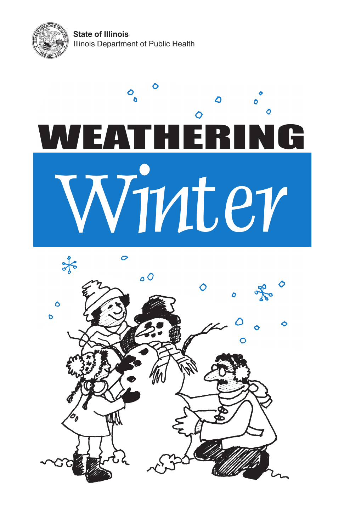**State of Illinois** Illinois Department of Public Health



## $\mathbf{c}_\mathbf{0}$  $\mathbf{O}$ WEATHÉRING Winter

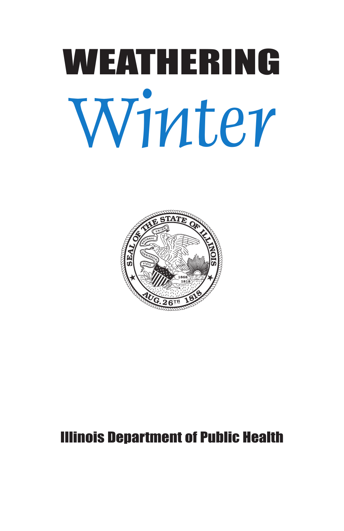# Weathering Winter



#### illinois Department of Public health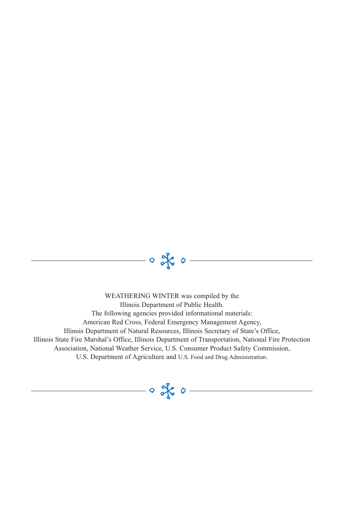WEATHERING WINTER was compiled by the Illinois Department of Public Health. The following agencies provided informational materials: American Red Cross, Federal Emergency Management Agency, Illinois Department of Natural Resources, Illinois Secretary of State's Office, Illinois State Fire Marshal's Office, Illinois Department of Transportation, National Fire Protection Association, National Weather Service, U.S. Consumer Product Safety Commission, U.S. Department of Agriculture and U.S. Food and Drug Administration.

 $- \circ$  of  $\circ -$ 

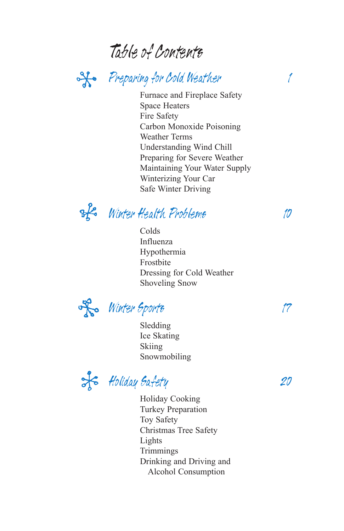#### Table of Contents

#### So Preparing for Cold Weather 1

Furnace and Fireplace Safety Space Heaters Fire Safety Carbon Monoxide Poisoning Weather Terms Understanding Wind Chill Preparing for Severe Weather Maintaining Your Water Supply Winterizing Your Car Safe Winter Driving

of Winter Health Problems 10

Colds Influenza Hypothermia Frostbite Dressing for Cold Weather Shoveling Snow

Ro Winter Sports 17

Sledding Ice Skating Skiing Snowmobiling

HolidaySafety 20

Holiday Cooking Turkey Preparation Toy Safety Christmas Tree Safety Lights Trimmings Drinking and Driving and Alcohol Consumption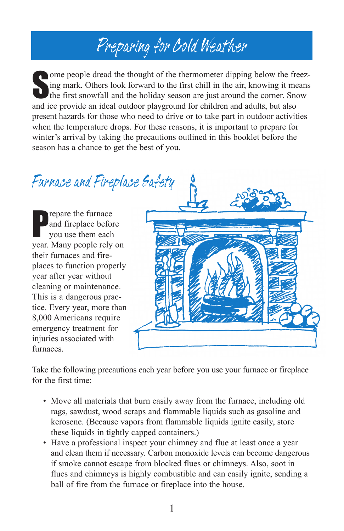## Preparing for Cold Weather

Some people dread the thought of the thermometer dipping below the freez-<br>Sing mark. Others look forward to the first chill in the air, knowing it means<br>the first snowfall and the holiday season are just around the corner. ing mark. Others look forward to the first chill in the air, knowing it means the first snowfall and the holiday season are just around the corner. Snow and ice provide an ideal outdoor playground for children and adults, but also present hazards for those who need to drive or to take part in outdoor activities when the temperature drops. For these reasons, it is important to prepare for winter's arrival by taking the precautions outlined in this booklet before the season has a chance to get the best of you.

Furnace and Fireplace Safety

P repare the furnace and fireplace before you use them each year. Many people rely on their furnaces and fireplaces to function properly year after year without cleaning or maintenance. This is a dangerous practice. Every year, more than 8,000 Americans require emergency treatment for injuries associated with furnaces.



Take the following precautions each year before you use your furnace or fireplace for the first time:

- Move all materials that burn easily away from the furnace, including old rags, sawdust, wood scraps and flammable liquids such as gasoline and kerosene. (Because vapors from flammable liquids ignite easily, store these liquids in tightly capped containers.)
- Have a professional inspect your chimney and flue at least once a year and clean them if necessary. Carbon monoxide levels can become dangerous if smoke cannot escape from blocked flues or chimneys. Also, soot in flues and chimneys is highly combustible and can easily ignite, sending a ball of fire from the furnace or fireplace into the house.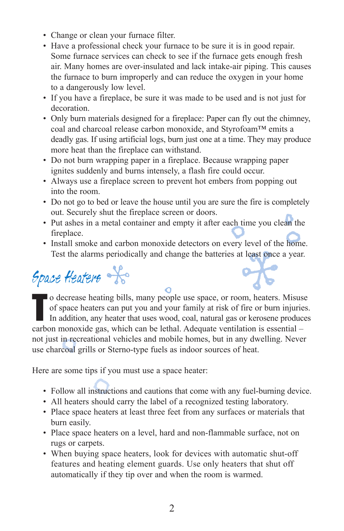- Change or clean your furnace filter.
- Have a professional check your furnace to be sure it is in good repair. Some furnace services can check to see if the furnace gets enough fresh air. Many homes are over-insulated and lack intake-air piping. This causes the furnace to burn improperly and can reduce the oxygen in your home to a dangerously low level.
- If you have a fireplace, be sure it was made to be used and is not just for decoration.
- Only burn materials designed for a fireplace: Paper can fly out the chimney, coal and charcoal release carbon monoxide, and Styrofoam™ emits a deadly gas. If using artificial logs, burn just one at a time. They may produce more heat than the fireplace can withstand.
- Do not burn wrapping paper in a fireplace. Because wrapping paper ignites suddenly and burns intensely, a flash fire could occur.
- Always use a fireplace screen to prevent hot embers from popping out into the room.
- Do not go to bed or leave the house until you are sure the fire is completely out. Securely shut the fireplace screen or doors.
- Put ashes in a metal container and empty it after each time you clean the fireplace.
- Install smoke and carbon monoxide detectors on every level of the home. Test the alarms periodically and change the batteries at least once a year.

Space Heaters

t o decrease heating bills, many people use space, or room, heaters. Misuse of space heaters can put you and your family at risk of fire or burn injuries. In addition, any heater that uses wood, coal, natural gas or kerosene produces carbon monoxide gas, which can be lethal. Adequate ventilation is essential – not just in recreational vehicles and mobile homes, but in any dwelling. Never use charcoal grills or Sterno-type fuels as indoor sources of heat.

Here are some tips if you must use a space heater:

- Follow all instructions and cautions that come with any fuel-burning device.
- All heaters should carry the label of a recognized testing laboratory.
- Place space heaters at least three feet from any surfaces or materials that burn easily.
- Place space heaters on a level, hard and non-flammable surface, not on rugs or carpets.
- When buying space heaters, look for devices with automatic shut-off features and heating element guards. Use only heaters that shut off automatically if they tip over and when the room is warmed.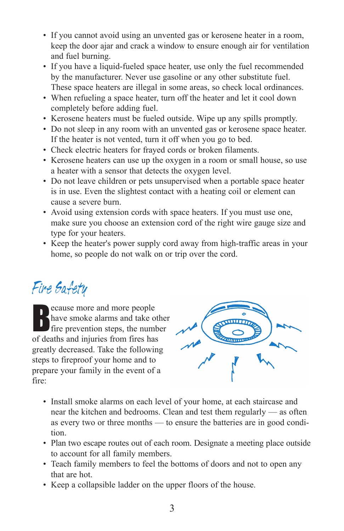- If you cannot avoid using an unvented gas or kerosene heater in a room, keep the door ajar and crack a window to ensure enough air for ventilation and fuel burning.
- If you have a liquid-fueled space heater, use only the fuel recommended by the manufacturer. Never use gasoline or any other substitute fuel. These space heaters are illegal in some areas, so check local ordinances.
- When refueling a space heater, turn off the heater and let it cool down completely before adding fuel.
- Kerosene heaters must be fueled outside. Wipe up any spills promptly.
- Do not sleep in any room with an unvented gas or kerosene space heater. If the heater is not vented, turn it off when you go to bed.
- Check electric heaters for frayed cords or broken filaments.
- Kerosene heaters can use up the oxygen in a room or small house, so use a heater with a sensor that detects the oxygen level.
- Do not leave children or pets unsupervised when a portable space heater is in use. Even the slightest contact with a heating coil or element can cause a severe burn.
- Avoid using extension cords with space heaters. If you must use one, make sure you choose an extension cord of the right wire gauge size and type for your heaters.
- Keep the heater's power supply cord away from high-traffic areas in your home, so people do not walk on or trip over the cord.

#### Fire Safety

B ecause more and more people have smoke alarms and take other fire prevention steps, the number of deaths and injuries from fires has greatly decreased. Take the following steps to fireproof your home and to prepare your family in the event of a fire:



- Install smoke alarms on each level of your home, at each staircase and near the kitchen and bedrooms. Clean and test them regularly — as often as every two or three months — to ensure the batteries are in good condition.
- Plan two escape routes out of each room. Designate a meeting place outside to account for all family members.
- Teach family members to feel the bottoms of doors and not to open any that are hot.
- Keep a collapsible ladder on the upper floors of the house.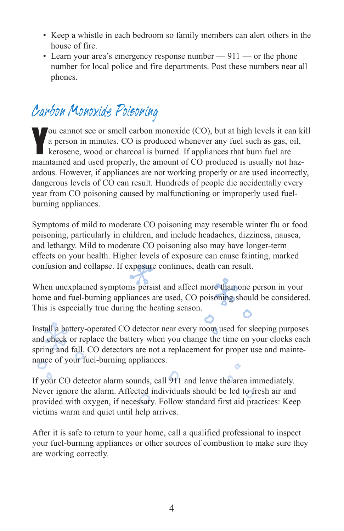- Keep a whistle in each bedroom so family members can alert others in the house of fire.
- Learn your area's emergency response number 911 or the phone number for local police and fire departments. Post these numbers near all phones.

#### Carbon Monoxide Poisoning

Y ou cannot see or smell carbon monoxide (CO), but at high levels it can kill a person in minutes. CO is produced whenever any fuel such as gas, oil, kerosene, wood or charcoal is burned. If appliances that burn fuel are maintained and used properly, the amount of CO produced is usually not hazardous. However, if appliances are not working properly or are used incorrectly, dangerous levels of CO can result. Hundreds of people die accidentally every year from CO poisoning caused by malfunctioning or improperly used fuelburning appliances.

Symptoms of mild to moderate CO poisoning may resemble winter flu or food poisoning, particularly in children, and include headaches, dizziness, nausea, and lethargy. Mild to moderate CO poisoning also may have longer-term effects on your health. Higher levels of exposure can cause fainting, marked confusion and collapse. If exposure continues, death can result.

When unexplained symptoms persist and affect more than one person in your home and fuel-burning appliances are used, CO poisoning should be considered. This is especially true during the heating season.

Install a battery-operated CO detector near every room used for sleeping purposes and check or replace the battery when you change the time on your clocks each spring and fall. CO detectors are not a replacement for proper use and maintenance of your fuel-burning appliances.

If your CO detector alarm sounds, call 911 and leave the area immediately. Never ignore the alarm. Affected individuals should be led to fresh air and provided with oxygen, if necessary. Follow standard first aid practices: Keep victims warm and quiet until help arrives.

After it is safe to return to your home, call a qualified professional to inspect your fuel-burning appliances or other sources of combustion to make sure they are working correctly.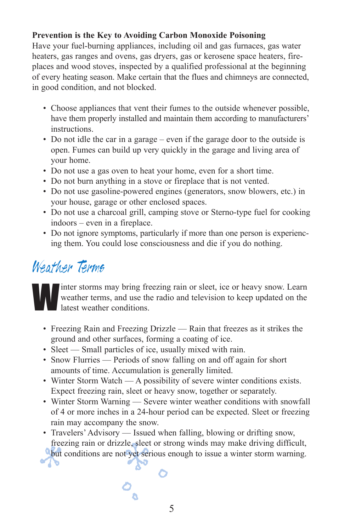#### **Prevention is the Key to Avoiding Carbon Monoxide Poisoning**

Have your fuel-burning appliances, including oil and gas furnaces, gas water heaters, gas ranges and ovens, gas dryers, gas or kerosene space heaters, fireplaces and wood stoves, inspected by a qualified professional at the beginning of every heating season. Make certain that the flues and chimneys are connected, in good condition, and not blocked.

- Choose appliances that vent their fumes to the outside whenever possible, have them properly installed and maintain them according to manufacturers' instructions.
- Do not idle the car in a garage even if the garage door to the outside is open. Fumes can build up very quickly in the garage and living area of your home.
- Do not use a gas oven to heat your home, even for a short time.
- Do not burn anything in a stove or fireplace that is not vented.
- Do not use gasoline-powered engines (generators, snow blowers, etc.) in your house, garage or other enclosed spaces.
- Do not use a charcoal grill, camping stove or Sterno-type fuel for cooking indoors – even in a fireplace.
- Do not ignore symptoms, particularly if more than one person is experiencing them. You could lose consciousness and die if you do nothing.

#### Weather Terms

Inter storms may bring freezing rain or sleet, ice or heavy snow. Learn<br>weather terms, and use the radio and television to keep updated on the<br>latest weather conditions. weather terms, and use the radio and television to keep updated on the latest weather conditions.

- Freezing Rain and Freezing Drizzle Rain that freezes as it strikes the ground and other surfaces, forming a coating of ice.
- Sleet Small particles of ice, usually mixed with rain.
- Snow Flurries Periods of snow falling on and off again for short amounts of time. Accumulation is generally limited.
- Winter Storm Watch A possibility of severe winter conditions exists. Expect freezing rain, sleet or heavy snow, together or separately.
- Winter Storm Warning Severe winter weather conditions with snowfall of 4 or more inches in a 24-hour period can be expected. Sleet or freezing rain may accompany the snow.
- Travelers' Advisory Issued when falling, blowing or drifting snow, freezing rain or drizzle, sleet or strong winds may make driving difficult,
- but conditions are not yet serious enough to issue a winter storm warning.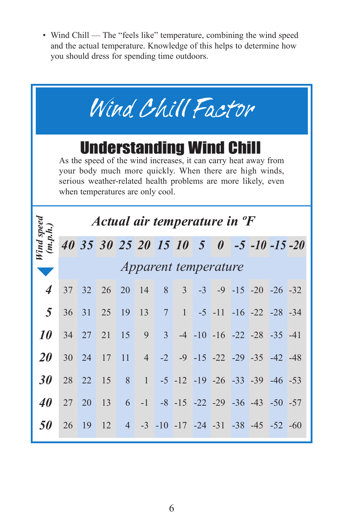• Wind Chill — The "feels like" temperature, combining the wind speed and the actual temperature. Knowledge of this helps to determine how you should dress for spending time outdoors.

| Wind Chill Factor                                                                                                                                                                                                                                                  |                      |    |    |    |                 |                |                |      |  |  |                                                     |  |
|--------------------------------------------------------------------------------------------------------------------------------------------------------------------------------------------------------------------------------------------------------------------|----------------------|----|----|----|-----------------|----------------|----------------|------|--|--|-----------------------------------------------------|--|
| <b>Understanding Wind Chill</b><br>As the speed of the wind increases, it can carry heat away from<br>your body much more quickly. When there are high winds,<br>serious weather-related health problems are more likely, even<br>when temperatures are only cool. |                      |    |    |    |                 |                |                |      |  |  |                                                     |  |
| Actual air temperature in <sup>o</sup> F                                                                                                                                                                                                                           |                      |    |    |    |                 |                |                |      |  |  |                                                     |  |
| Wind speed<br>(m.p.h.)                                                                                                                                                                                                                                             |                      |    |    |    |                 |                |                |      |  |  | 40 35 30 25 20 15 10 5 0 -5 -10 -15 -20             |  |
|                                                                                                                                                                                                                                                                    | Apparent temperature |    |    |    |                 |                |                |      |  |  |                                                     |  |
| $\overline{\boldsymbol{4}}$                                                                                                                                                                                                                                        | 37                   | 32 | 26 | 20 | 14              | 8              | 3 <sup>1</sup> | $-3$ |  |  | $-9$ $-15$ $-20$ $-26$ $-32$                        |  |
| 5                                                                                                                                                                                                                                                                  | 36                   | 31 | 25 | 19 | 13              | $\overline{7}$ | 1              |      |  |  | $-5$ $-11$ $-16$ $-22$ $-28$ $-34$                  |  |
| 10                                                                                                                                                                                                                                                                 | 34                   | 27 | 21 | 15 | 9               | 3 <sup>1</sup> |                |      |  |  | $-4$ $-10$ $-16$ $-22$ $-28$ $-35$ $-41$            |  |
| 20                                                                                                                                                                                                                                                                 | 30                   | 24 | 17 | 11 | $4\overline{ }$ |                |                |      |  |  | $-2$ $-9$ $-15$ $-22$ $-29$ $-35$ $-42$ $-48$       |  |
| 30                                                                                                                                                                                                                                                                 | 28                   | 22 | 15 | 8  | $\mathbf{1}$    |                |                |      |  |  | $-5$ $-12$ $-19$ $-26$ $-33$ $-39$ $-46$ $-53$      |  |
| 40                                                                                                                                                                                                                                                                 | 27                   | 20 | 13 | 6  |                 |                |                |      |  |  | $-1$ $-8$ $-15$ $-22$ $-29$ $-36$ $-43$ $-50$ $-57$ |  |
| 50                                                                                                                                                                                                                                                                 | 26                   | 19 | 12 |    |                 |                |                |      |  |  | 4 -3 -10 -17 -24 -31 -38 -45 -52 -60                |  |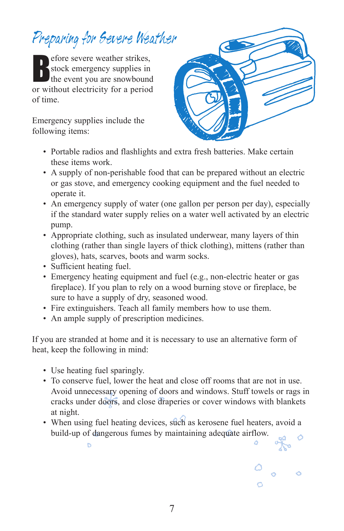## Preparing for Severe Weather

efore severe weather strikes,<br>stock emergency supplies in<br>the event you are snowbound stock emergency supplies in the event you are snowbound or without electricity for a period of time.

Emergency supplies include the following items:



- Portable radios and flashlights and extra fresh batteries. Make certain these items work.
- A supply of non-perishable food that can be prepared without an electric or gas stove, and emergency cooking equipment and the fuel needed to operate it.
- An emergency supply of water (one gallon per person per day), especially if the standard water supply relies on a water well activated by an electric pump.
- Appropriate clothing, such as insulated underwear, many layers of thin clothing (rather than single layers of thick clothing), mittens (rather than gloves), hats, scarves, boots and warm socks.
- Sufficient heating fuel.
- Emergency heating equipment and fuel (e.g., non-electric heater or gas fireplace). If you plan to rely on a wood burning stove or fireplace, be sure to have a supply of dry, seasoned wood.
- Fire extinguishers. Teach all family members how to use them.
- An ample supply of prescription medicines.

If you are stranded at home and it is necessary to use an alternative form of heat, keep the following in mind:

• Use heating fuel sparingly.

ь

- To conserve fuel, lower the heat and close off rooms that are not in use. Avoid unnecessary opening of doors and windows. Stuff towels or rags in cracks under doors, and close draperies or cover windows with blankets at night.
- When using fuel heating devices, such as kerosene fuel heaters, avoid a build-up of dangerous fumes by maintaining adequate airflow.

 $\ddot{\circ}$ 

 $\circ$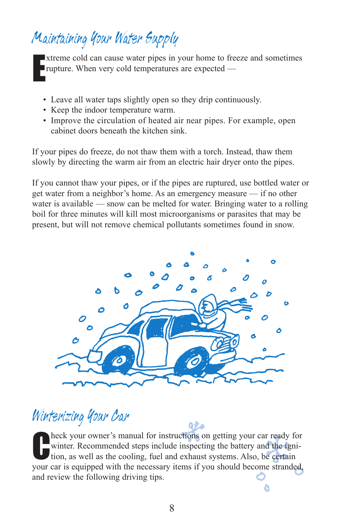### Maintaining Your Water Supply

e xtreme cold can cause water pipes in your home to freeze and sometimes rupture. When very cold temperatures are expected —

- Leave all water taps slightly open so they drip continuously.
- Keep the indoor temperature warm.
- Improve the circulation of heated air near pipes. For example, open cabinet doors beneath the kitchen sink.

If your pipes do freeze, do not thaw them with a torch. Instead, thaw them slowly by directing the warm air from an electric hair dryer onto the pipes.

If you cannot thaw your pipes, or if the pipes are ruptured, use bottled water or get water from a neighbor's home. As an emergency measure — if no other water is available — snow can be melted for water. Bringing water to a rolling boil for three minutes will kill most microorganisms or parasites that may be present, but will not remove chemical pollutants sometimes found in snow.



#### Winterizing Your Car

heck your owner's manual for instructions on getting your car ready for The section where is manual for instructions on getting your car ready for winter. Recommended steps include inspecting the battery and the ignition, as well as the cooling, fuel and exhaust systems. Also, be certain your winter. Recommended steps include inspecting the battery and the ignition, as well as the cooling, fuel and exhaust systems. Also, be certain and review the following driving tips. ۵

92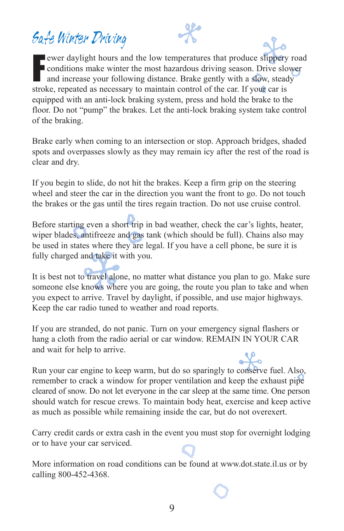#### Safe Winter Driving

Fewer daylight hours and the low temperatures that produce slippery reconditions make winter the most hazardous driving season. Drive slow and increase your following distance. Brake gently with a slow, steady ewer daylight hours and the low temperatures that produce slippery road  $\blacksquare$  conditions make winter the most hazardous driving season. Drive slower stroke, repeated as necessary to maintain control of the car. If your car is equipped with an anti-lock braking system, press and hold the brake to the floor. Do not "pump" the brakes. Let the anti-lock braking system take control of the braking.

Brake early when coming to an intersection or stop. Approach bridges, shaded spots and overpasses slowly as they may remain icy after the rest of the road is clear and dry.

If you begin to slide, do not hit the brakes. Keep a firm grip on the steering wheel and steer the car in the direction you want the front to go. Do not touch the brakes or the gas until the tires regain traction. Do not use cruise control.

Before starting even a short trip in bad weather, check the car's lights, heater, wiper blades, antifreeze and gas tank (which should be full). Chains also may be used in states where they are legal. If you have a cell phone, be sure it is fully charged and take it with you.

It is best not to travel alone, no matter what distance you plan to go. Make sure someone else knows where you are going, the route you plan to take and when you expect to arrive. Travel by daylight, if possible, and use major highways. Keep the car radio tuned to weather and road reports.

If you are stranded, do not panic. Turn on your emergency signal flashers or hang a cloth from the radio aerial or car window. REMAIN IN YOUR CAR and wait for help to arrive.

Run your car engine to keep warm, but do so sparingly to conserve fuel. Also, remember to crack a window for proper ventilation and keep the exhaust pipe cleared of snow. Do not let everyone in the car sleep at the same time. One person should watch for rescue crews. To maintain body heat, exercise and keep active as much as possible while remaining inside the car, but do not overexert.

Carry credit cards or extra cash in the event you must stop for overnight lodging or to have your car serviced.

More information on road conditions can be found at www.dot.state.il.us or by calling 800-452-4368.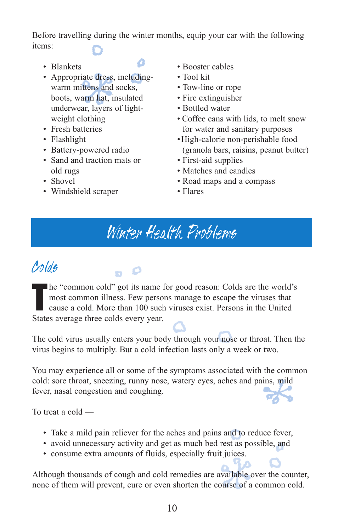Before travelling during the winter months, equip your car with the following items:

- Blankets
- Appropriate dress, includingwarm mittens and socks, boots, warm hat, insulated underwear, layers of lightweight clothing
- Fresh batteries
- Flashlight
- Battery-powered radio
- Sand and traction mats or old rugs
- Shovel
- Windshield scraper
- Booster cables
- Tool kit
- Tow-line or rope
- Fire extinguisher
- Bottled water
- Coffee cans with lids, to melt snow for water and sanitary purposes
- •High-calorie non-perishable food (granola bars, raisins, peanut butter)
- First-aid supplies
- Matches and candles
- Road maps and a compass
- Flares

#### Winter Health Problems

#### Colds

t de la partie de la partie de la partie de la partie de la partie de la partie de la partie de la partie de l<br>Décembre de la partie de la partie de la partie de la partie de la partie de la partie de la partie de la part he "common cold" got its name for good reason: Colds are the world's most common illness. Few persons manage to escape the viruses that cause a cold. More than 100 such viruses exist. Persons in the United States average three colds every year.

The cold virus usually enters your body through your nose or throat. Then the virus begins to multiply. But a cold infection lasts only a week or two.

You may experience all or some of the symptoms associated with the common cold: sore throat, sneezing, runny nose, watery eyes, aches and pains, mild fever, nasal congestion and coughing.

![](_page_13_Picture_25.jpeg)

To treat a cold —

- Take a mild pain reliever for the aches and pains and to reduce fever,
- avoid unnecessary activity and get as much bed rest as possible, and
- consume extra amounts of fluids, especially fruit juices.

Although thousands of cough and cold remedies are available over the counter, none of them will prevent, cure or even shorten the course of a common cold.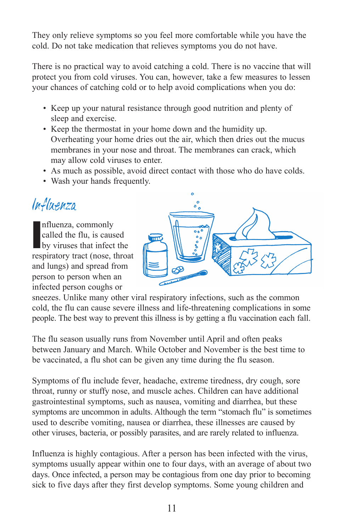They only relieve symptoms so you feel more comfortable while you have the cold. Do not take medication that relieves symptoms you do not have.

There is no practical way to avoid catching a cold. There is no vaccine that will protect you from cold viruses. You can, however, take a few measures to lessen your chances of catching cold or to help avoid complications when you do:

- Keep up your natural resistance through good nutrition and plenty of sleep and exercise.
- Keep the thermostat in your home down and the humidity up. Overheating your home dries out the air, which then dries out the mucus membranes in your nose and throat. The membranes can crack, which may allow cold viruses to enter.
- As much as possible, avoid direct contact with those who do have colds.
- Wash your hands frequently.

#### Influenza

nfluenza, commonly<br>
called the flu, is caused<br>
by viruses that infect the nfluenza, commonly called the flu, is caused respiratory tract (nose, throat and lungs) and spread from person to person when an infected person coughs or

![](_page_14_Picture_8.jpeg)

sneezes. Unlike many other viral respiratory infections, such as the common cold, the flu can cause severe illness and life-threatening complications in some people. The best way to prevent this illness is by getting a flu vaccination each fall.

The flu season usually runs from November until April and often peaks between January and March. While October and November is the best time to be vaccinated, a flu shot can be given any time during the flu season.

Symptoms of flu include fever, headache, extreme tiredness, dry cough, sore throat, runny or stuffy nose, and muscle aches. Children can have additional gastrointestinal symptoms, such as nausea, vomiting and diarrhea, but these symptoms are uncommon in adults. Although the term "stomach flu" is sometimes used to describe vomiting, nausea or diarrhea, these illnesses are caused by other viruses, bacteria, or possibly parasites, and are rarely related to influenza.

Influenza is highly contagious. After a person has been infected with the virus, symptoms usually appear within one to four days, with an average of about two days. Once infected, a person may be contagious from one day prior to becoming sick to five days after they first develop symptoms. Some young children and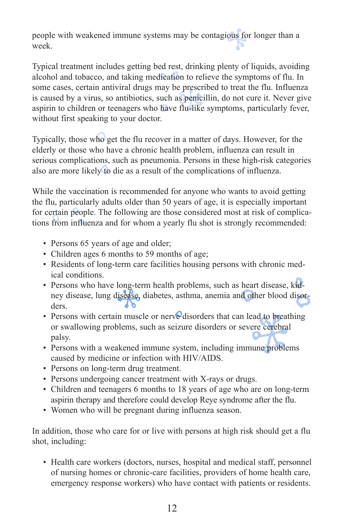people with weakened immune systems may be contagious for longer than a week.

Typical treatment includes getting bed rest, drinking plenty of liquids, avoiding alcohol and tobacco, and taking medication to relieve the symptoms of flu. In some cases, certain antiviral drugs may be prescribed to treat the flu. Influenza is caused by a virus, so antibiotics, such as penicillin, do not cure it. Never give aspirin to children or teenagers who have flu-like symptoms, particularly fever, without first speaking to your doctor.

Typically, those who get the flu recover in a matter of days. However, for the elderly or those who have a chronic health problem, influenza can result in serious complications, such as pneumonia. Persons in these high-risk categories also are more likely to die as a result of the complications of influenza.

While the vaccination is recommended for anyone who wants to avoid getting the flu, particularly adults older than 50 years of age, it is especially important for certain people. The following are those considered most at risk of complications from influenza and for whom a yearly flu shot is strongly recommended:

- Persons 65 years of age and older;
- Children ages 6 months to 59 months of age;
- Residents of long-term care facilities housing persons with chronic medical conditions.
- Persons who have long-term health problems, such as heart disease, kidney disease, lung disease, diabetes, asthma, anemia and other blood disorders.
- Persons with certain muscle or nerve disorders that can lead to breathing or swallowing problems, such as seizure disorders or severe cerebral palsy.
- Persons with a weakened immune system, including immune problems caused by medicine or infection with HIV/AIDS.
- Persons on long-term drug treatment.
- Persons undergoing cancer treatment with X-rays or drugs.
- Children and teenagers 6 months to 18 years of age who are on long-term aspirin therapy and therefore could develop Reye syndrome after the flu.
- Women who will be pregnant during influenza season.

In addition, those who care for or live with persons at high risk should get a flu shot, including:

• Health care workers (doctors, nurses, hospital and medical staff, personnel of nursing homes or chronic-care facilities, providers of home health care, emergency response workers) who have contact with patients or residents.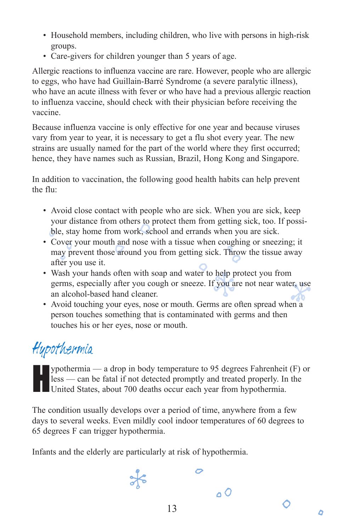- Household members, including children, who live with persons in high-risk groups.
- Care-givers for children younger than 5 years of age.

Allergic reactions to influenza vaccine are rare. However, people who are allergic to eggs, who have had Guillain-Barré Syndrome (a severe paralytic illness), who have an acute illness with fever or who have had a previous allergic reaction to influenza vaccine, should check with their physician before receiving the vaccine.

Because influenza vaccine is only effective for one year and because viruses vary from year to year, it is necessary to get a flu shot every year. The new strains are usually named for the part of the world where they first occurred; hence, they have names such as Russian, Brazil, Hong Kong and Singapore.

In addition to vaccination, the following good health habits can help prevent the flu:

- Avoid close contact with people who are sick. When you are sick, keep your distance from others to protect them from getting sick, too. If possible, stay home from work, school and errands when you are sick.
- Cover your mouth and nose with a tissue when coughing or sneezing; it may prevent those around you from getting sick. Throw the tissue away after you use it.
- Wash your hands often with soap and water to help protect you from germs, especially after you cough or sneeze. If you are not near water, use an alcohol-based hand cleaner.
- Avoid touching your eyes, nose or mouth. Germs are often spread when a person touches something that is contaminated with germs and then touches his or her eyes, nose or mouth.

## Hypothermia

ypothermia — a drop in body temperature to 95 degrees Fahrenheit (F) or<br>less — can be fatal if not detected promptly and treated properly. In the<br>United States, about 700 deaths occur each year from hypothermia. less — can be fatal if not detected promptly and treated properly. In the United States, about 700 deaths occur each year from hypothermia.

The condition usually develops over a period of time, anywhere from a few days to several weeks. Even mildly cool indoor temperatures of 60 degrees to 65 degrees F can trigger hypothermia.

Infants and the elderly are particularly at risk of hypothermia.

 $\frac{1}{2}$ 

 $\overline{C}$ 

 $0<sup>o</sup>$ 

O

۵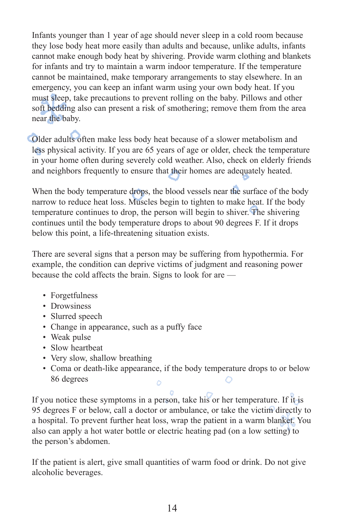Infants younger than 1 year of age should never sleep in a cold room because they lose body heat more easily than adults and because, unlike adults, infants cannot make enough body heat by shivering. Provide warm clothing and blankets for infants and try to maintain a warm indoor temperature. If the temperature cannot be maintained, make temporary arrangements to stay elsewhere. In an emergency, you can keep an infant warm using your own body heat. If you must sleep, take precautions to prevent rolling on the baby. Pillows and other soft bedding also can present a risk of smothering; remove them from the area near the baby.

Older adults often make less body heat because of a slower metabolism and less physical activity. If you are 65 years of age or older, check the temperature in your home often during severely cold weather. Also, check on elderly friends and neighbors frequently to ensure that their homes are adequately heated.

When the body temperature drops, the blood vessels near the surface of the body narrow to reduce heat loss. Muscles begin to tighten to make heat. If the body temperature continues to drop, the person will begin to shiver. The shivering continues until the body temperature drops to about 90 degrees F. If it drops below this point, a life-threatening situation exists.

There are several signs that a person may be suffering from hypothermia. For example, the condition can deprive victims of judgment and reasoning power because the cold affects the brain. Signs to look for are —

- Forgetfulness
- Drowsiness
- Slurred speech
- Change in appearance, such as a puffy face
- Weak pulse
- Slow heartbeat
- Very slow, shallow breathing
- Coma or death-like appearance, if the body temperature drops to or below 86 degrees  $\circ$  $\ddot{\circ}$

If you notice these symptoms in a person, take his or her temperature. If it is 95 degrees F or below, call a doctor or ambulance, or take the victim directly to a hospital. To prevent further heat loss, wrap the patient in a warm blanket. You also can apply a hot water bottle or electric heating pad (on a low setting) to the person's abdomen.

If the patient is alert, give small quantities of warm food or drink. Do not give alcoholic beverages.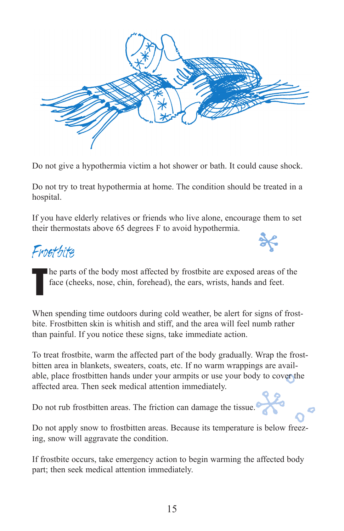![](_page_18_Picture_0.jpeg)

Do not give a hypothermia victim a hot shower or bath. It could cause shock.

Do not try to treat hypothermia at home. The condition should be treated in a hospital.

If you have elderly relatives or friends who live alone, encourage them to set their thermostats above 65 degrees F to avoid hypothermia.

#### Frosthite

**T** he parts of the body most affected by frostbite are exposed areas of the face (cheeks, nose, chin, forehead), the ears, wrists, hands and feet.

When spending time outdoors during cold weather, be alert for signs of frostbite. Frostbitten skin is whitish and stiff, and the area will feel numb rather than painful. If you notice these signs, take immediate action.

To treat frostbite, warm the affected part of the body gradually. Wrap the frostbitten area in blankets, sweaters, coats, etc. If no warm wrappings are available, place frostbitten hands under your armpits or use your body to cover the affected area. Then seek medical attention immediately.

Do not rub frostbitten areas. The friction can damage the tissue.

Do not apply snow to frostbitten areas. Because its temperature is below freezing, snow will aggravate the condition.

If frostbite occurs, take emergency action to begin warming the affected body part; then seek medical attention immediately.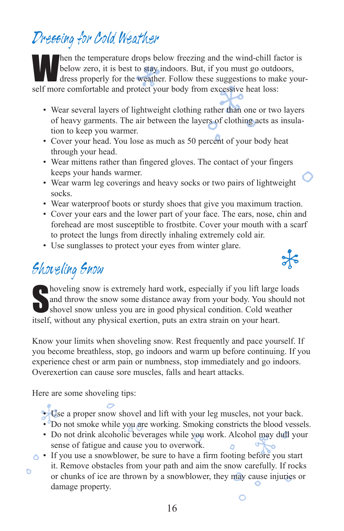### Dressing for Cold Weather

Then the temperature drops below freezing and the wind-chill factor is<br>helow zero, it is best to discuss the windbelow zero, it is best to stay indoors. But, if you must go outdoors, dress properly for the weather. Follow these suggestions to make yourself more comfortable and protect your body from excessive heat loss:

- Wear several layers of lightweight clothing rather than one or two layers of heavy garments. The air between the layers of clothing acts as insulation to keep you warmer.
- Cover your head. You lose as much as 50 percent of your body heat through your head.
- Wear mittens rather than fingered gloves. The contact of your fingers keeps your hands warmer.
- Wear warm leg coverings and heavy socks or two pairs of lightweight socks.
- Wear waterproof boots or sturdy shoes that give you maximum traction.
- Cover your ears and the lower part of your face. The ears, nose, chin and forehead are most susceptible to frostbite. Cover your mouth with a scarf to protect the lungs from directly inhaling extremely cold air.

 $\frac{1}{\sqrt{6}}$ 

• Use sunglasses to protect your eyes from winter glare.

#### Shoveling Snow

Shoveling snow is extremely hard work, especially if you lift large loads<br>and throw the snow some distance away from your body. You should no<br>shovel snow unless you are in good physical condition. Cold weather and throw the snow some distance away from your body. You should not shovel snow unless you are in good physical condition. Cold weather itself, without any physical exertion, puts an extra strain on your heart.

Know your limits when shoveling snow. Rest frequently and pace yourself. If you become breathless, stop, go indoors and warm up before continuing. If you experience chest or arm pain or numbness, stop immediately and go indoors. Overexertion can cause sore muscles, falls and heart attacks.

Here are some shoveling tips:

b

• Use a proper snow shovel and lift with your leg muscles, not your back. •  $^{\circ}$ Do not smoke while you are working. Smoking constricts the blood vessels.

- Do not drink alcoholic beverages while you work. Alcohol may dull your sense of fatigue and cause you to overwork.
- If you use a snowblower, be sure to have a firm footing before you start it. Remove obstacles from your path and aim the snow carefully. If rocks or chunks of ice are thrown by a snowblower, they may cause injuries or damage property.

O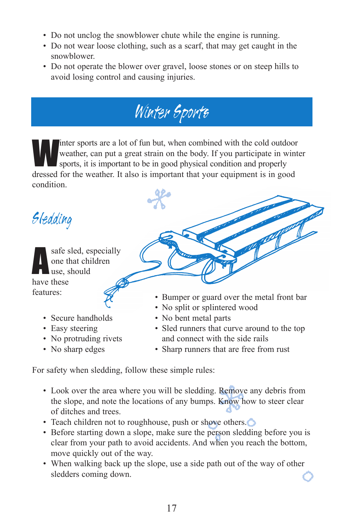- Do not unclog the snowblower chute while the engine is running.
- Do not wear loose clothing, such as a scarf, that may get caught in the snowblower.
- Do not operate the blower over gravel, loose stones or on steep hills to avoid losing control and causing injuries.

![](_page_20_Picture_3.jpeg)

Inter sports are a lot of fun but, when combined with the cold outdoor weather, can put a great strain on the body. If you participate in wint sports, it is important to be in good physical condition and properly weather, can put a great strain on the body. If you participate in winter sports, it is important to be in good physical condition and properly dressed for the weather. It also is important that your equipment is in good condition.

Sledding

a safe sled, especially one that children use, should have these features:

- Secure handholds
- Easy steering
- No protruding rivets
- No sharp edges
- Bumper or guard over the metal front bar
- No split or splintered wood
- No bent metal parts
- Sled runners that curve around to the top and connect with the side rails
- Sharp runners that are free from rust

For safety when sledding, follow these simple rules:

- Look over the area where you will be sledding. Remove any debris from the slope, and note the locations of any bumps. Know how to steer clear of ditches and trees.
- Teach children not to roughhouse, push or shove others.
- Before starting down a slope, make sure the person sledding before you is clear from your path to avoid accidents. And when you reach the bottom, move quickly out of the way.
- When walking back up the slope, use a side path out of the way of other sledders coming down.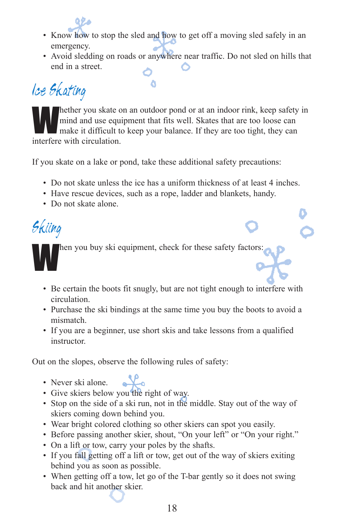![](_page_21_Picture_0.jpeg)

- Know how to stop the sled and how to get off a moving sled safely in an emergency.
- Avoid sledding on roads or anywhere near traffic. Do not sled on hills that end in a street.

## IceSkating

hether you skate on an outdoor pond or at an indoor rink, keep safety in mind and use equipment that fits well. Skates that are too loose can make it difficult to keep your balance. If they are too tight, they can mind and use equipment that fits well. Skates that are too loose can interfere with circulation.

If you skate on a lake or pond, take these additional safety precautions:

- Do not skate unless the ice has a uniform thickness of at least 4 inches.
- Have rescue devices, such as a rope, ladder and blankets, handy.
- Do not skate alone.

Skiing hen you buy ski equipment, check for these safety factors:

- Be certain the boots fit snugly, but are not tight enough to interfere with circulation.
- Purchase the ski bindings at the same time you buy the boots to avoid a mismatch.
- If you are a beginner, use short skis and take lessons from a qualified instructor.

Out on the slopes, observe the following rules of safety:

- Lo • Never ski alone.
- Give skiers below you the right of way.
- Stop on the side of a ski run, not in the middle. Stay out of the way of skiers coming down behind you.
- Wear bright colored clothing so other skiers can spot you easily.
- Before passing another skier, shout, "On your left" or "On your right."
- On a lift or tow, carry your poles by the shafts.
- If you fall getting off a lift or tow, get out of the way of skiers exiting behind you as soon as possible.
- When getting off a tow, let go of the T-bar gently so it does not swing back and hit another skier.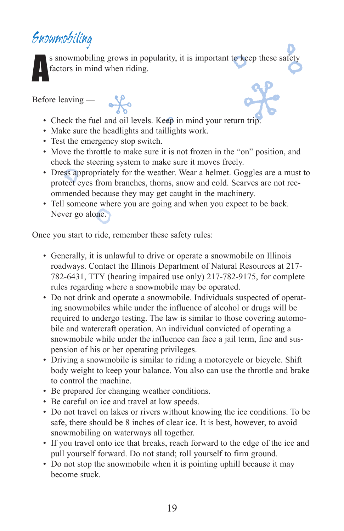#### Snowmobiling

a s snowmobiling grows in popularity, it is important to keep these safety factors in mind when riding.

Before leaving —

- Check the fuel and oil levels. Keep in mind your return trip.
- Make sure the headlights and taillights work.

 $\frac{1}{2}$ 

- Test the emergency stop switch.
- Move the throttle to make sure it is not frozen in the "on" position, and check the steering system to make sure it moves freely.
- Dress appropriately for the weather. Wear a helmet. Goggles are a must to protect eyes from branches, thorns, snow and cold. Scarves are not recommended because they may get caught in the machinery.
- Tell someone where you are going and when you expect to be back. Never go alone.

Once you start to ride, remember these safety rules:

- Generally, it is unlawful to drive or operate a snowmobile on Illinois roadways. Contact the Illinois Department of Natural Resources at 217- 782-6431, TTY (hearing impaired use only) 217-782-9175, for complete rules regarding where a snowmobile may be operated.
- Do not drink and operate a snowmobile. Individuals suspected of operating snowmobiles while under the influence of alcohol or drugs will be required to undergo testing. The law is similar to those covering automobile and watercraft operation. An individual convicted of operating a snowmobile while under the influence can face a jail term, fine and suspension of his or her operating privileges.
- Driving a snowmobile is similar to riding a motorcycle or bicycle. Shift body weight to keep your balance. You also can use the throttle and brake to control the machine.
- Be prepared for changing weather conditions.
- Be careful on ice and travel at low speeds.
- Do not travel on lakes or rivers without knowing the ice conditions. To be safe, there should be 8 inches of clear ice. It is best, however, to avoid snowmobiling on waterways all together.
- If you travel onto ice that breaks, reach forward to the edge of the ice and pull yourself forward. Do not stand; roll yourself to firm ground.
- Do not stop the snowmobile when it is pointing uphill because it may become stuck.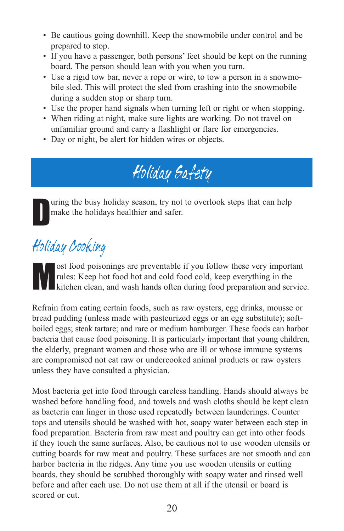- Be cautious going downhill. Keep the snowmobile under control and be prepared to stop.
- If you have a passenger, both persons' feet should be kept on the running board. The person should lean with you when you turn.
- Use a rigid tow bar, never a rope or wire, to tow a person in a snowmobile sled. This will protect the sled from crashing into the snowmobile during a sudden stop or sharp turn.
- Use the proper hand signals when turning left or right or when stopping.
- When riding at night, make sure lights are working. Do not travel on unfamiliar ground and carry a flashlight or flare for emergencies.
- Day or night, be alert for hidden wires or objects.

## Holiday Safety

D uring the busy holiday season, try not to overlook steps that can help make the holidays healthier and safer.

### Holiday Cooking

ost food poisonings are preventable if you follow these very important rules: Keep hot food hot and cold food cold, keep everything in the kitchen clean, and wash hands often during food preparation and service.

Refrain from eating certain foods, such as raw oysters, egg drinks, mousse or bread pudding (unless made with pasteurized eggs or an egg substitute); softboiled eggs; steak tartare; and rare or medium hamburger. These foods can harbor bacteria that cause food poisoning. It is particularly important that young children, the elderly, pregnant women and those who are ill or whose immune systems are compromised not eat raw or undercooked animal products or raw oysters unless they have consulted a physician.

Most bacteria get into food through careless handling. Hands should always be washed before handling food, and towels and wash cloths should be kept clean as bacteria can linger in those used repeatedly between launderings. Counter tops and utensils should be washed with hot, soapy water between each step in food preparation. Bacteria from raw meat and poultry can get into other foods if they touch the same surfaces. Also, be cautious not to use wooden utensils or cutting boards for raw meat and poultry. These surfaces are not smooth and can harbor bacteria in the ridges. Any time you use wooden utensils or cutting boards, they should be scrubbed thoroughly with soapy water and rinsed well before and after each use. Do not use them at all if the utensil or board is scored or cut.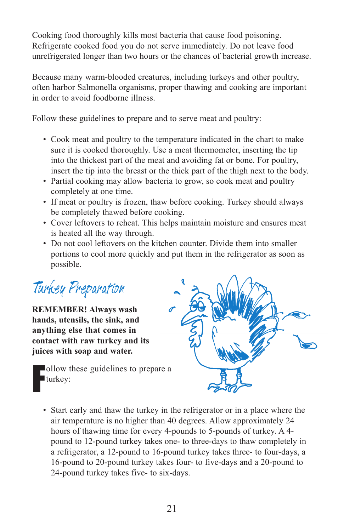Cooking food thoroughly kills most bacteria that cause food poisoning. Refrigerate cooked food you do not serve immediately. Do not leave food unrefrigerated longer than two hours or the chances of bacterial growth increase.

Because many warm-blooded creatures, including turkeys and other poultry, often harbor Salmonella organisms, proper thawing and cooking are important in order to avoid foodborne illness.

Follow these guidelines to prepare and to serve meat and poultry:

- Cook meat and poultry to the temperature indicated in the chart to make sure it is cooked thoroughly. Use a meat thermometer, inserting the tip into the thickest part of the meat and avoiding fat or bone. For poultry, insert the tip into the breast or the thick part of the thigh next to the body.
- Partial cooking may allow bacteria to grow, so cook meat and poultry completely at one time.
- If meat or poultry is frozen, thaw before cooking. Turkey should always be completely thawed before cooking.
- Cover leftovers to reheat. This helps maintain moisture and ensures meat is heated all the way through.
- Do not cool leftovers on the kitchen counter. Divide them into smaller portions to cool more quickly and put them in the refrigerator as soon as possible.

Turkey Preparation

**REMEMBER! Always wash hands, utensils, the sink, and anything else that comes in contact with raw turkey and its juices with soap and water.**

![](_page_24_Picture_10.jpeg)

![](_page_24_Picture_11.jpeg)

• Start early and thaw the turkey in the refrigerator or in a place where the air temperature is no higher than 40 degrees. Allow approximately 24 hours of thawing time for every 4-pounds to 5-pounds of turkey. A 4 pound to 12-pound turkey takes one- to three-days to thaw completely in a refrigerator, a 12-pound to 16-pound turkey takes three- to four-days, a 16-pound to 20-pound turkey takes four- to five-days and a 20-pound to 24-pound turkey takes five- to six-days.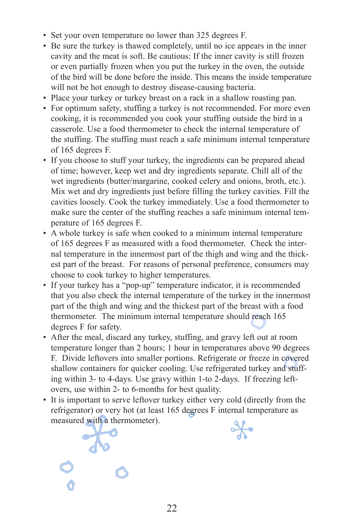- Set your oven temperature no lower than 325 degrees F.
- Be sure the turkey is thawed completely, until no ice appears in the inner cavity and the meat is soft. Be cautious: If the inner cavity is still frozen or even partially frozen when you put the turkey in the oven, the outside of the bird will be done before the inside. This means the inside temperature will not be hot enough to destroy disease-causing bacteria.
- Place your turkey or turkey breast on a rack in a shallow roasting pan.
- For optimum safety, stuffing a turkey is not recommended. For more even cooking, it is recommended you cook your stuffing outside the bird in a casserole. Use a food thermometer to check the internal temperature of the stuffing. The stuffing must reach a safe minimum internal temperature of 165 degrees F.
- If you choose to stuff your turkey, the ingredients can be prepared ahead of time; however, keep wet and dry ingredients separate. Chill all of the wet ingredients (butter/margarine, cooked celery and onions, broth, etc.). Mix wet and dry ingredients just before filling the turkey cavities. Fill the cavities loosely. Cook the turkey immediately. Use a food thermometer to make sure the center of the stuffing reaches a safe minimum internal temperature of 165 degrees F.
- A whole turkey is safe when cooked to a minimum internal temperature of 165 degrees F as measured with a food thermometer. Check the internal temperature in the innermost part of the thigh and wing and the thickest part of the breast. For reasons of personal preference, consumers may choose to cook turkey to higher temperatures.
- If your turkey has a "pop-up" temperature indicator, it is recommended that you also check the internal temperature of the turkey in the innermost part of the thigh and wing and the thickest part of the breast with a food thermometer. The minimum internal temperature should reach 165 degrees F for safety.
- After the meal, discard any turkey, stuffing, and gravy left out at room temperature longer than 2 hours; 1 hour in temperatures above 90 degrees F. Divide leftovers into smaller portions. Refrigerate or freeze in covered shallow containers for quicker cooling. Use refrigerated turkey and stuffing within 3- to 4-days. Use gravy within 1-to 2-days. If freezing leftovers, use within 2- to 6-months for best quality.
- It is important to serve leftover turkey either very cold (directly from the refrigerator) or very hot (at least 165 degrees F internal temperature as measured with a thermometer).

 $\frac{1}{2}$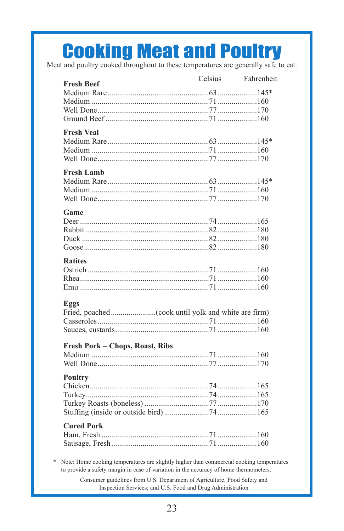## **Cooking Meat and Poultry**

Meat and poultry cooked throughout to these temperatures are generally safe to eat.

| <b>Fresh Beef</b>               | Celsius | Fahrenheit |
|---------------------------------|---------|------------|
|                                 |         |            |
|                                 |         |            |
|                                 |         |            |
|                                 |         |            |
|                                 |         |            |
| <b>Fresh Veal</b>               |         |            |
|                                 |         |            |
|                                 |         |            |
|                                 |         |            |
| <b>Fresh Lamb</b>               |         |            |
|                                 |         |            |
|                                 |         |            |
|                                 |         |            |
|                                 |         |            |
| Game                            |         |            |
|                                 |         |            |
|                                 |         |            |
|                                 |         |            |
|                                 |         |            |
| <b>Ratites</b>                  |         |            |
|                                 |         |            |
|                                 |         |            |
|                                 |         |            |
|                                 |         |            |
| Eggs                            |         |            |
|                                 |         |            |
|                                 |         |            |
|                                 |         |            |
|                                 |         |            |
| Fresh Pork - Chops, Roast, Ribs |         |            |
|                                 |         |            |
|                                 |         |            |
| <b>Poultry</b>                  |         |            |
|                                 |         |            |
|                                 |         |            |
|                                 |         |            |
|                                 |         |            |
|                                 |         |            |
| <b>Cured Pork</b>               |         |            |
|                                 |         |            |
|                                 |         |            |
|                                 |         |            |

\* Note: Home cooking temperatures are slightly higher than commercial cooking temperatures to provide a safety margin in case of variation in the accuracy of home thermometers.

> Consumer guidelines from U.S. Department of Agriculture, Food Safety and Inspection Services; and U.S. Food and Drug Administration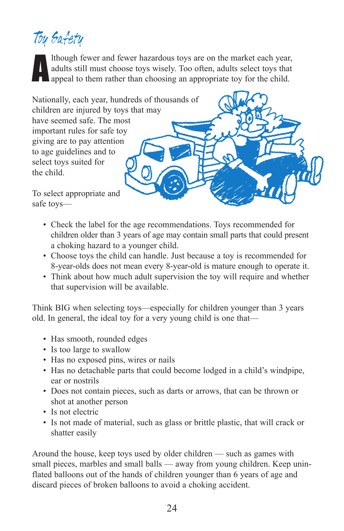## ToySafety

Ithough fewer and fewer hazardous toys are on the market each year adults still must choose toys wisely. Too often, adults select toys that appeal to them rather than choosing an appropriate toy for the child. lthough fewer and fewer hazardous toys are on the market each year, adults still must choose toys wisely. Too often, adults select toys that

Nationally, each year, hundreds of thousands of children are injured by toys that may have seemed safe. The most important rules for safe toy giving are to pay attention to age guidelines and to select toys suited for the child.

To select appropriate and safe toys—

- Check the label for the age recommendations. Toys recommended for children older than 3 years of age may contain small parts that could present a choking hazard to a younger child.
- Choose toys the child can handle. Just because a toy is recommended for 8-year-olds does not mean every 8-year-old is mature enough to operate it.
- Think about how much adult supervision the toy will require and whether that supervision will be available.

Think BIG when selecting toys—especially for children younger than 3 years old. In general, the ideal toy for a very young child is one that—

- Has smooth, rounded edges
- Is too large to swallow
- Has no exposed pins, wires or nails
- Has no detachable parts that could become lodged in a child's windpipe, ear or nostrils
- Does not contain pieces, such as darts or arrows, that can be thrown or shot at another person
- Is not electric
- Is not made of material, such as glass or brittle plastic, that will crack or shatter easily

Around the house, keep toys used by older children — such as games with small pieces, marbles and small balls — away from young children. Keep uninflated balloons out of the hands of children younger than 6 years of age and discard pieces of broken balloons to avoid a choking accident.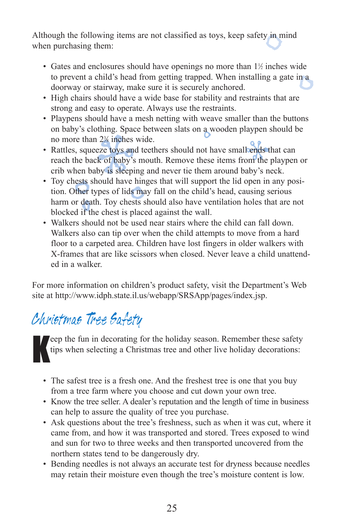Although the following items are not classified as toys, keep safety in mind when purchasing them:

- Gates and enclosures should have openings no more than 1% inches wide to prevent a child's head from getting trapped. When installing a gate in a doorway or stairway, make sure it is securely anchored.
- High chairs should have a wide base for stability and restraints that are strong and easy to operate. Always use the restraints.
- Playpens should have a mesh netting with weave smaller than the buttons on baby's clothing. Space between slats on a wooden playpen should be no more than 23 ⁄8 inches wide.
- Rattles, squeeze toys and teethers should not have small ends that can reach the back of baby's mouth. Remove these items from the playpen or crib when baby is sleeping and never tie them around baby's neck.
- Toy chests should have hinges that will support the lid open in any position. Other types of lids may fall on the child's head, causing serious harm or death. Toy chests should also have ventilation holes that are not blocked if the chest is placed against the wall.
- Walkers should not be used near stairs where the child can fall down. Walkers also can tip over when the child attempts to move from a hard floor to a carpeted area. Children have lost fingers in older walkers with X-frames that are like scissors when closed. Never leave a child unattended in a walker.

For more information on children's product safety, visit the Department's Web site at http://www.idph.state.il.us/webapp/SRSApp/pages/index.jsp.

#### Christmas Tree Safety

K eep the fun in decorating for the holiday season. Remember these safety tips when selecting a Christmas tree and other live holiday decorations:

- The safest tree is a fresh one. And the freshest tree is one that you buy from a tree farm where you choose and cut down your own tree.
- Know the tree seller. A dealer's reputation and the length of time in business can help to assure the quality of tree you purchase.
- Ask questions about the tree's freshness, such as when it was cut, where it came from, and how it was transported and stored. Trees exposed to wind and sun for two to three weeks and then transported uncovered from the northern states tend to be dangerously dry.
- Bending needles is not always an accurate test for dryness because needles may retain their moisture even though the tree's moisture content is low.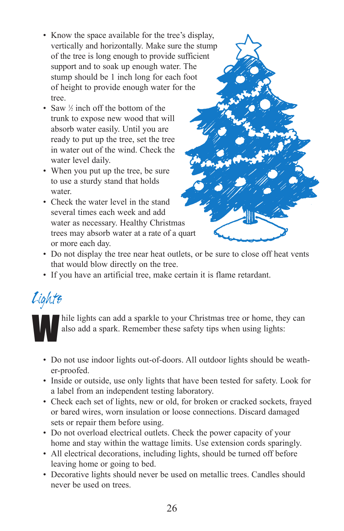- Know the space available for the tree's display, vertically and horizontally. Make sure the stump of the tree is long enough to provide sufficient support and to soak up enough water. The stump should be 1 inch long for each foot of height to provide enough water for the tree.
- Saw  $\frac{1}{2}$  inch off the bottom of the trunk to expose new wood that will absorb water easily. Until you are ready to put up the tree, set the tree in water out of the wind. Check the water level daily.
- When you put up the tree, be sure to use a sturdy stand that holds water.
- Check the water level in the stand several times each week and add water as necessary. Healthy Christmas trees may absorb water at a rate of a quart or more each day.

![](_page_29_Picture_4.jpeg)

- Do not display the tree near heat outlets, or be sure to close off heat vents that would blow directly on the tree.
- If you have an artificial tree, make certain it is flame retardant.

#### Lights

hile lights can add a sparkle to your Christmas tree or home, they can also add a spark. Remember these safety tips when using lights: also add a spark. Remember these safety tips when using lights:

- Do not use indoor lights out-of-doors. All outdoor lights should be weather-proofed.
- Inside or outside, use only lights that have been tested for safety. Look for a label from an independent testing laboratory.
- Check each set of lights, new or old, for broken or cracked sockets, frayed or bared wires, worn insulation or loose connections. Discard damaged sets or repair them before using.
- Do not overload electrical outlets. Check the power capacity of your home and stay within the wattage limits. Use extension cords sparingly.
- All electrical decorations, including lights, should be turned off before leaving home or going to bed.
- Decorative lights should never be used on metallic trees. Candles should never be used on trees.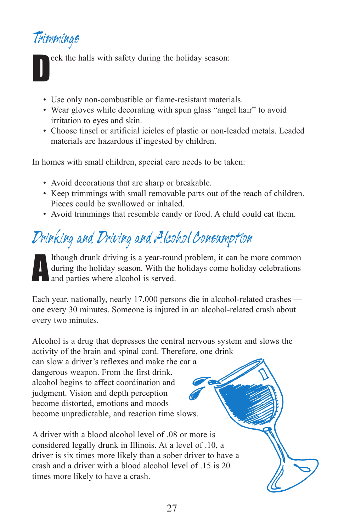#### Trimmings

D eck the halls with safety during the holiday season:

- Use only non-combustible or flame-resistant materials.
- Wear gloves while decorating with spun glass "angel hair" to avoid irritation to eyes and skin.
- Choose tinsel or artificial icicles of plastic or non-leaded metals. Leaded materials are hazardous if ingested by children.

In homes with small children, special care needs to be taken:

- Avoid decorations that are sharp or breakable.
- Keep trimmings with small removable parts out of the reach of children. Pieces could be swallowed or inhaled.
- Avoid trimmings that resemble candy or food. A child could eat them.

## Drinking and Driving and Alcohol Consumption

a lthough drunk driving is a year-round problem, it can be more common during the holiday season. With the holidays come holiday celebrations and parties where alcohol is served.

Each year, nationally, nearly 17,000 persons die in alcohol-related crashes one every 30 minutes. Someone is injured in an alcohol-related crash about every two minutes.

Alcohol is a drug that depresses the central nervous system and slows the activity of the brain and spinal cord. Therefore, one drink

can slow a driver's reflexes and make the car a dangerous weapon. From the first drink, alcohol begins to affect coordination and judgment. Vision and depth perception become distorted, emotions and moods become unpredictable, and reaction time slows.

A driver with a blood alcohol level of .08 or more is considered legally drunk in Illinois. At a level of .10, a driver is six times more likely than a sober driver to have a crash and a driver with a blood alcohol level of 15 is 20 times more likely to have a crash.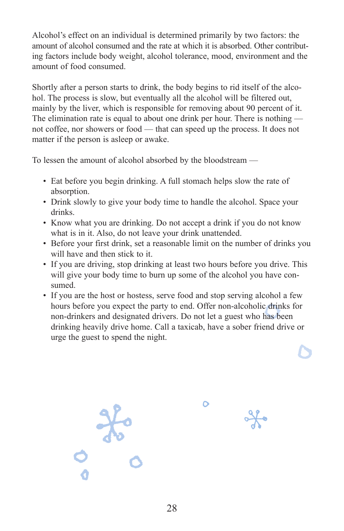Alcohol's effect on an individual is determined primarily by two factors: the amount of alcohol consumed and the rate at which it is absorbed. Other contributing factors include body weight, alcohol tolerance, mood, environment and the amount of food consumed.

Shortly after a person starts to drink, the body begins to rid itself of the alcohol. The process is slow, but eventually all the alcohol will be filtered out, mainly by the liver, which is responsible for removing about 90 percent of it. The elimination rate is equal to about one drink per hour. There is nothing not coffee, nor showers or food — that can speed up the process. It does not matter if the person is asleep or awake.

To lessen the amount of alcohol absorbed by the bloodstream —

- Eat before you begin drinking. A full stomach helps slow the rate of absorption.
- Drink slowly to give your body time to handle the alcohol. Space your drinks.
- Know what you are drinking. Do not accept a drink if you do not know what is in it. Also, do not leave your drink unattended.
- Before your first drink, set a reasonable limit on the number of drinks you will have and then stick to it.
- If you are driving, stop drinking at least two hours before you drive. This will give your body time to burn up some of the alcohol you have consumed.
- If you are the host or hostess, serve food and stop serving alcohol a few hours before you expect the party to end. Offer non-alcoholic drinks for non-drinkers and designated drivers. Do not let a guest who has been drinking heavily drive home. Call a taxicab, have a sober friend drive or urge the guest to spend the night.

![](_page_31_Picture_9.jpeg)

٥